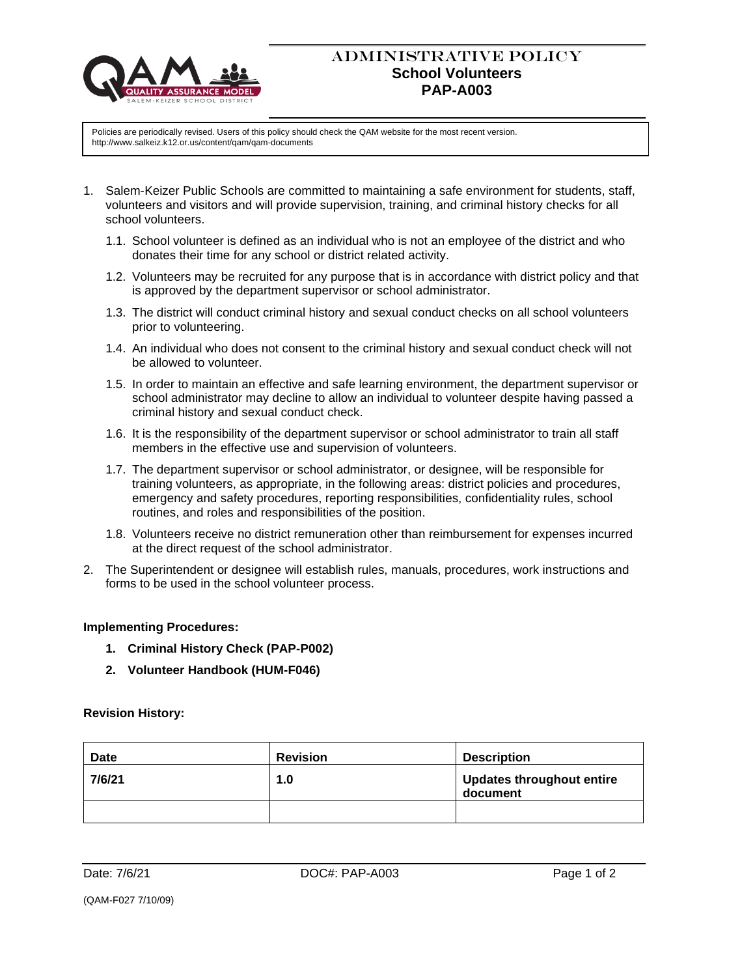

## ADMINISTRATIVE POLICY **School Volunteers PAP-A003**

Policies are periodically revised. Users of this policy should check the QAM website for the most recent version. http://www.salkeiz.k12.or.us/content/qam/qam-documents

- 1. Salem-Keizer Public Schools are committed to maintaining a safe environment for students, staff, volunteers and visitors and will provide supervision, training, and criminal history checks for all school volunteers.
	- 1.1. School volunteer is defined as an individual who is not an employee of the district and who donates their time for any school or district related activity.
	- 1.2. Volunteers may be recruited for any purpose that is in accordance with district policy and that is approved by the department supervisor or school administrator.
	- 1.3. The district will conduct criminal history and sexual conduct checks on all school volunteers prior to volunteering.
	- 1.4. An individual who does not consent to the criminal history and sexual conduct check will not be allowed to volunteer.
	- 1.5. In order to maintain an effective and safe learning environment, the department supervisor or school administrator may decline to allow an individual to volunteer despite having passed a criminal history and sexual conduct check.
	- 1.6. It is the responsibility of the department supervisor or school administrator to train all staff members in the effective use and supervision of volunteers.
	- 1.7. The department supervisor or school administrator, or designee, will be responsible for training volunteers, as appropriate, in the following areas: district policies and procedures, emergency and safety procedures, reporting responsibilities, confidentiality rules, school routines, and roles and responsibilities of the position.
	- 1.8. Volunteers receive no district remuneration other than reimbursement for expenses incurred at the direct request of the school administrator.
- 2. The Superintendent or designee will establish rules, manuals, procedures, work instructions and forms to be used in the school volunteer process.

## **Implementing Procedures:**

- **1. Criminal History Check (PAP-P002)**
- **2. Volunteer Handbook (HUM-F046)**

## **Revision History:**

| <b>Date</b> | <b>Revision</b> | <b>Description</b>                           |
|-------------|-----------------|----------------------------------------------|
| 7/6/21      | 1.0             | <b>Updates throughout entire</b><br>document |
|             |                 |                                              |